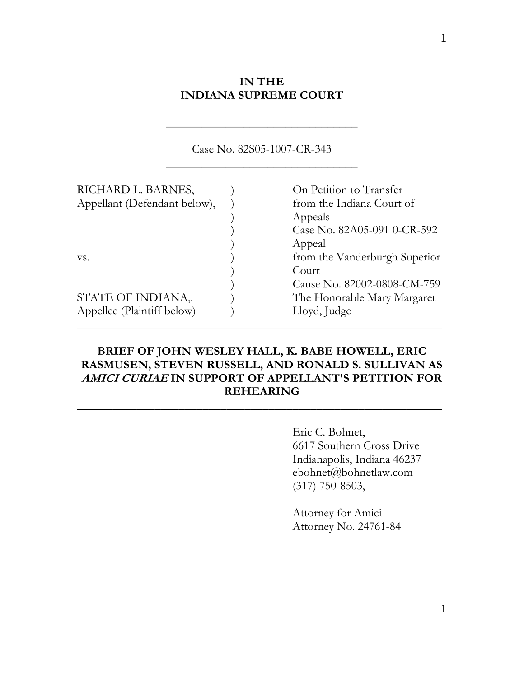### **IN THE INDIANA SUPREME COURT**

**\_\_\_\_\_\_\_\_\_\_\_\_\_\_\_\_\_\_\_\_\_\_\_\_\_\_\_\_\_\_\_\_**

|                              | Case No. 82S05-1007-CR-343    |
|------------------------------|-------------------------------|
| RICHARD L. BARNES,           | On Petition to Transfer       |
| Appellant (Defendant below), | from the Indiana Court of     |
|                              | Appeals                       |
|                              | Case No. 82A05-091 0-CR-592   |
|                              | Appeal                        |
| VS.                          | from the Vanderburgh Superior |
|                              | Court                         |
|                              | Cause No. 82002-0808-CM-759   |
| STATE OF INDIANA,.           | The Honorable Mary Margaret   |
| Appellee (Plaintiff below)   | Lloyd, Judge                  |

### **BRIEF OF JOHN WESLEY HALL, K. BABE HOWELL, ERIC RASMUSEN, STEVEN RUSSELL, AND RONALD S. SULLIVAN AS AMICI CURIAE IN SUPPORT OF APPELLANT'S PETITION FOR REHEARING**

**\_\_\_\_\_\_\_\_\_\_\_\_\_\_\_\_\_\_\_\_\_\_\_\_\_\_\_\_\_\_\_\_\_\_\_\_\_\_\_\_\_\_\_\_\_\_\_\_\_\_\_\_\_\_\_\_\_\_\_\_\_** 

 Eric C. Bohnet, 6617 Southern Cross Drive Indianapolis, Indiana 46237 ebohnet@bohnetlaw.com (317) 750-8503,

 Attorney for Amici Attorney No. 24761-84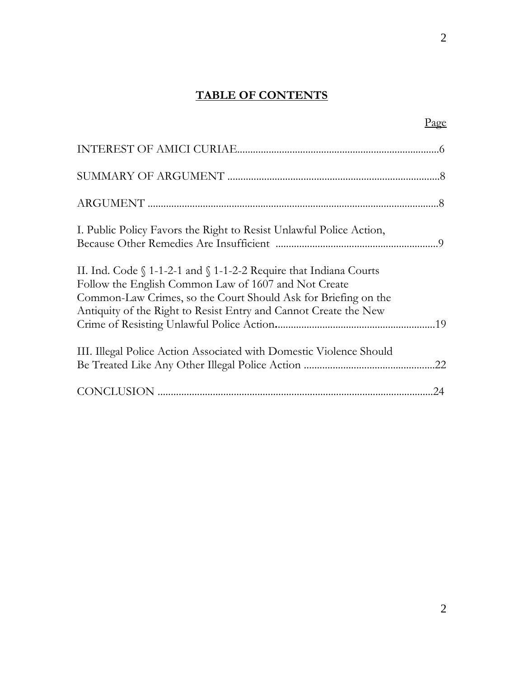## **TABLE OF CONTENTS**

|                                                                                                                                                                                                       | $P_{\text{age}}$ |
|-------------------------------------------------------------------------------------------------------------------------------------------------------------------------------------------------------|------------------|
|                                                                                                                                                                                                       |                  |
|                                                                                                                                                                                                       |                  |
|                                                                                                                                                                                                       |                  |
| I. Public Policy Favors the Right to Resist Unlawful Police Action,                                                                                                                                   |                  |
| II. Ind. Code $\int 1-1-2-1$ and $\int 1-1-2-2$ Require that Indiana Courts<br>Follow the English Common Law of 1607 and Not Create<br>Common-Law Crimes, so the Court Should Ask for Briefing on the |                  |
| Antiquity of the Right to Resist Entry and Cannot Create the New                                                                                                                                      |                  |
| III. Illegal Police Action Associated with Domestic Violence Should                                                                                                                                   |                  |
|                                                                                                                                                                                                       |                  |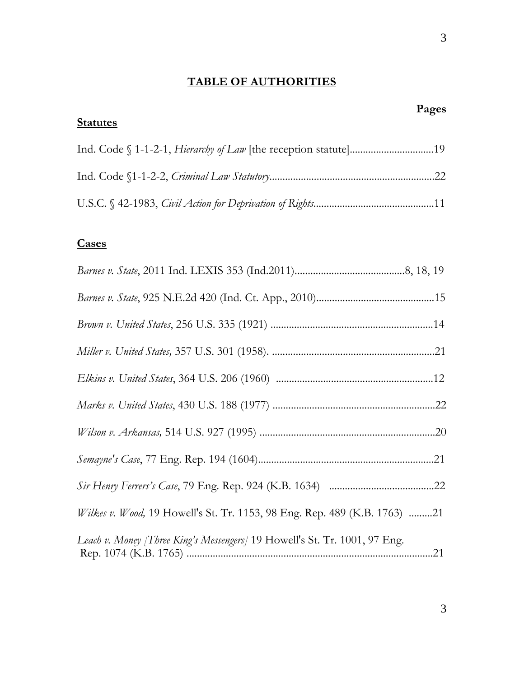## **TABLE OF AUTHORITIES**

| <b>Pages</b><br><b>Statutes</b>                                                  |
|----------------------------------------------------------------------------------|
|                                                                                  |
|                                                                                  |
|                                                                                  |
| <b>Cases</b>                                                                     |
|                                                                                  |
|                                                                                  |
|                                                                                  |
|                                                                                  |
|                                                                                  |
|                                                                                  |
|                                                                                  |
|                                                                                  |
|                                                                                  |
| <i>Wilkes v. Wood,</i> 19 Howell's St. Tr. 1153, 98 Eng. Rep. 489 (K.B. 1763) 21 |
| Leach v. Money [Three King's Messengers] 19 Howell's St. Tr. 1001, 97 Eng.       |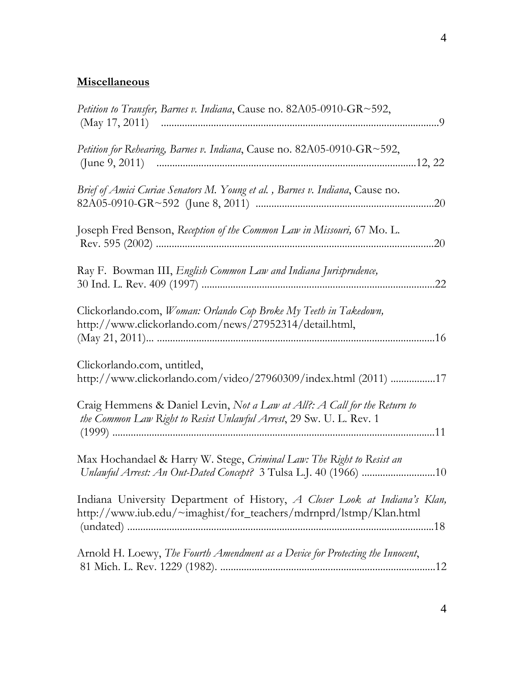## **Miscellaneous**

| Petition to Transfer, Barnes v. Indiana, Cause no. 82A05-0910-GR~592,                                                                            |
|--------------------------------------------------------------------------------------------------------------------------------------------------|
| <i>Petition for Rehearing, Barnes v. Indiana, Cause no. 82A05-0910-GR~592,</i>                                                                   |
| Brief of Amici Curiae Senators M. Young et al., Barnes v. Indiana, Cause no.                                                                     |
| Joseph Fred Benson, Reception of the Common Law in Missouri, 67 Mo. L.                                                                           |
| Ray F. Bowman III, <i>English Common Law and Indiana Jurisprudence</i> ,<br>.22                                                                  |
| Clickorlando.com, Woman: Orlando Cop Broke My Teeth in Takedown,<br>http://www.clickorlando.com/news/27952314/detail.html,                       |
| Clickorlando.com, untitled,<br>http://www.clickorlando.com/video/27960309/index.html (2011) 17                                                   |
| Craig Hemmens & Daniel Levin, Not a Law at All?: A Call for the Return to<br>the Common Law Right to Resist Unlawful Arrest, 29 Sw. U. L. Rev. 1 |
| Max Hochandael & Harry W. Stege, Criminal Law: The Right to Resist an                                                                            |
| Indiana University Department of History, A Closer Look at Indiana's Klan,<br>http://www.iub.edu/~imaghist/for_teachers/mdrnprd/lstmp/Klan.html  |
| Arnold H. Loewy, The Fourth Amendment as a Device for Protecting the Innocent,                                                                   |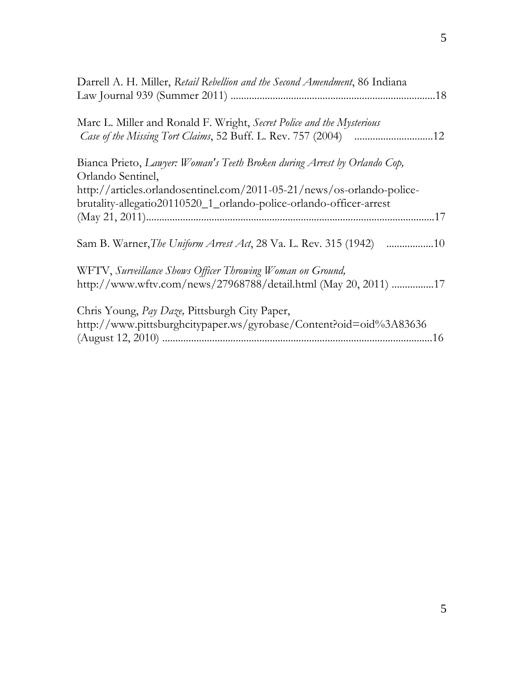| Darrell A. H. Miller, Retail Rebellion and the Second Amendment, 86 Indiana                    |
|------------------------------------------------------------------------------------------------|
|                                                                                                |
| Marc L. Miller and Ronald F. Wright, Secret Police and the Mysterious                          |
| Bianca Prieto, Lawyer: Woman's Teeth Broken during Arrest by Orlando Cop,<br>Orlando Sentinel, |
| http://articles.orlandosentinel.com/2011-05-21/news/os-orlando-police-                         |
| brutality-allegatio20110520_1_orlando-police-orlando-officer-arrest                            |
|                                                                                                |
| Sam B. Warner, The Uniform Arrest Act, 28 Va. L. Rev. 315 (1942) 10                            |
| WFTV, Surveillance Shows Officer Throwing Woman on Ground,                                     |
| http://www.wftv.com/news/27968788/detail.html (May 20, 2011) 17                                |
| Chris Young, Pay Daze, Pittsburgh City Paper,                                                  |
| http://www.pittsburghcitypaper.ws/gyrobase/Content?oid=oid%3A83636                             |
|                                                                                                |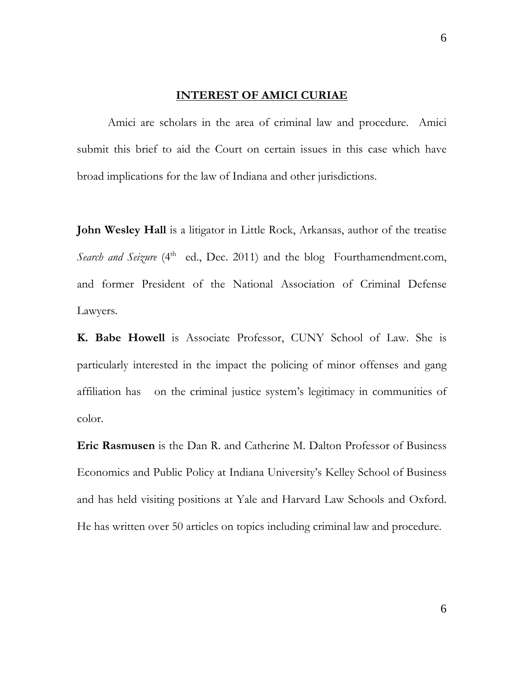#### **INTEREST OF AMICI CURIAE**

 Amici are scholars in the area of criminal law and procedure. Amici submit this brief to aid the Court on certain issues in this case which have broad implications for the law of Indiana and other jurisdictions.

**John Wesley Hall** is a litigator in Little Rock, Arkansas, author of the treatise *Search and Seizure* (4<sup>th</sup> ed., Dec. 2011) and the blog Fourthamendment.com, and former President of the National Association of Criminal Defense Lawyers.

**K. Babe Howell** is Associate Professor, CUNY School of Law. She is particularly interested in the impact the policing of minor offenses and gang affiliation has on the criminal justice system's legitimacy in communities of color.

**Eric Rasmusen** is the Dan R. and Catherine M. Dalton Professor of Business Economics and Public Policy at Indiana University's Kelley School of Business and has held visiting positions at Yale and Harvard Law Schools and Oxford. He has written over 50 articles on topics including criminal law and procedure.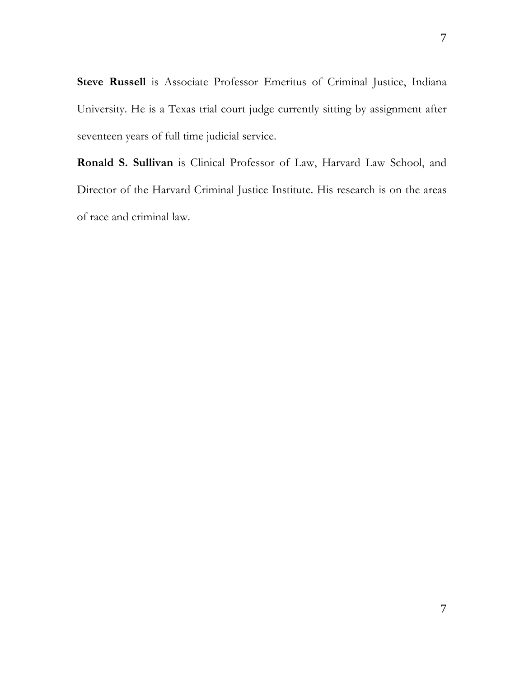**Steve Russell** is Associate Professor Emeritus of Criminal Justice, Indiana University. He is a Texas trial court judge currently sitting by assignment after seventeen years of full time judicial service.

**Ronald S. Sullivan** is Clinical Professor of Law, Harvard Law School, and Director of the Harvard Criminal Justice Institute. His research is on the areas of race and criminal law.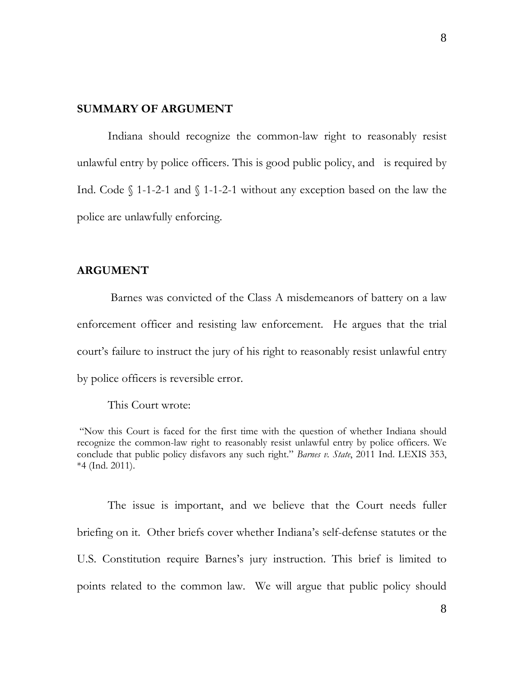### **SUMMARY OF ARGUMENT**

 Indiana should recognize the common-law right to reasonably resist unlawful entry by police officers. This is good public policy, and is required by Ind. Code  $\int 1-1-2-1$  and  $\int 1-1-2-1$  without any exception based on the law the police are unlawfully enforcing.

### **ARGUMENT**

 Barnes was convicted of the Class A misdemeanors of battery on a law enforcement officer and resisting law enforcement. He argues that the trial court's failure to instruct the jury of his right to reasonably resist unlawful entry by police officers is reversible error.

This Court wrote:

 "Now this Court is faced for the first time with the question of whether Indiana should recognize the common-law right to reasonably resist unlawful entry by police officers. We conclude that public policy disfavors any such right." *Barnes v. State*, 2011 Ind. LEXIS 353, \*4 (Ind. 2011).

 The issue is important, and we believe that the Court needs fuller briefing on it. Other briefs cover whether Indiana's self-defense statutes or the U.S. Constitution require Barnes's jury instruction. This brief is limited to points related to the common law. We will argue that public policy should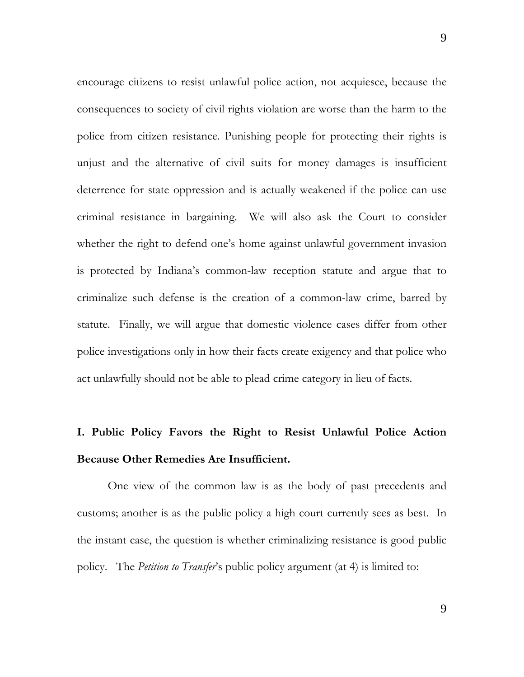encourage citizens to resist unlawful police action, not acquiesce, because the consequences to society of civil rights violation are worse than the harm to the police from citizen resistance. Punishing people for protecting their rights is unjust and the alternative of civil suits for money damages is insufficient deterrence for state oppression and is actually weakened if the police can use criminal resistance in bargaining. We will also ask the Court to consider whether the right to defend one's home against unlawful government invasion is protected by Indiana's common-law reception statute and argue that to criminalize such defense is the creation of a common-law crime, barred by statute. Finally, we will argue that domestic violence cases differ from other police investigations only in how their facts create exigency and that police who act unlawfully should not be able to plead crime category in lieu of facts.

# **I. Public Policy Favors the Right to Resist Unlawful Police Action Because Other Remedies Are Insufficient.**

 One view of the common law is as the body of past precedents and customs; another is as the public policy a high court currently sees as best. In the instant case, the question is whether criminalizing resistance is good public policy. The *Petition to Transfer*'s public policy argument (at 4) is limited to: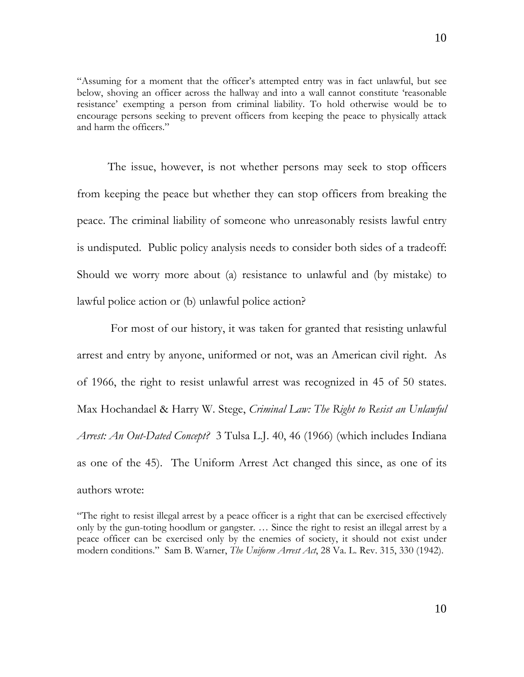"Assuming for a moment that the officer's attempted entry was in fact unlawful, but see below, shoving an officer across the hallway and into a wall cannot constitute 'reasonable resistance' exempting a person from criminal liability. To hold otherwise would be to encourage persons seeking to prevent officers from keeping the peace to physically attack and harm the officers."

 The issue, however, is not whether persons may seek to stop officers from keeping the peace but whether they can stop officers from breaking the peace. The criminal liability of someone who unreasonably resists lawful entry is undisputed. Public policy analysis needs to consider both sides of a tradeoff: Should we worry more about (a) resistance to unlawful and (by mistake) to lawful police action or (b) unlawful police action?

 For most of our history, it was taken for granted that resisting unlawful arrest and entry by anyone, uniformed or not, was an American civil right. As of 1966, the right to resist unlawful arrest was recognized in 45 of 50 states. Max Hochandael & Harry W. Stege, *Criminal Law: The Right to Resist an Unlawful Arrest: An Out-Dated Concept?* 3 Tulsa L.J. 40, 46 (1966) (which includes Indiana as one of the 45). The Uniform Arrest Act changed this since, as one of its authors wrote:

"The right to resist illegal arrest by a peace officer is a right that can be exercised effectively only by the gun-toting hoodlum or gangster. … Since the right to resist an illegal arrest by a peace officer can be exercised only by the enemies of society, it should not exist under modern conditions." Sam B. Warner, *The Uniform Arrest Act*, 28 Va. L. Rev. 315, 330 (1942).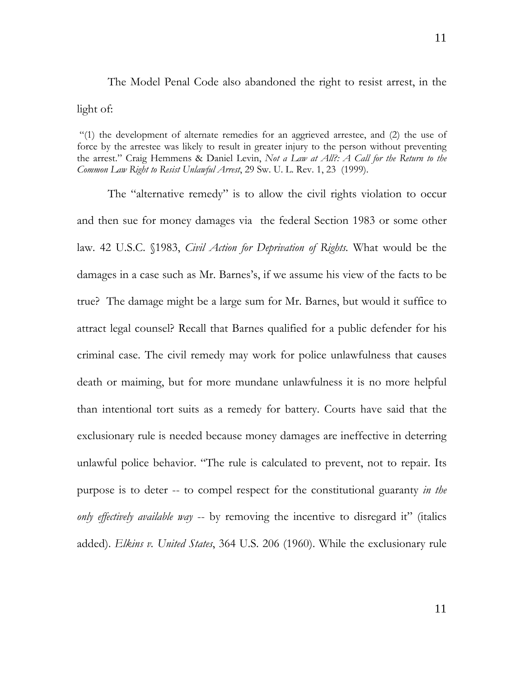The Model Penal Code also abandoned the right to resist arrest, in the light of:

 "(1) the development of alternate remedies for an aggrieved arrestee, and (2) the use of force by the arrestee was likely to result in greater injury to the person without preventing the arrest." Craig Hemmens & Daniel Levin, *Not a Law at All?: A Call for the Return to the Common Law Right to Resist Unlawful Arrest*, 29 Sw. U. L. Rev. 1, 23 (1999).

 The "alternative remedy" is to allow the civil rights violation to occur and then sue for money damages via the federal Section 1983 or some other law. 42 U.S.C. §1983, *Civil Action for Deprivation of Rights.* What would be the damages in a case such as Mr. Barnes's, if we assume his view of the facts to be true? The damage might be a large sum for Mr. Barnes, but would it suffice to attract legal counsel? Recall that Barnes qualified for a public defender for his criminal case. The civil remedy may work for police unlawfulness that causes death or maiming, but for more mundane unlawfulness it is no more helpful than intentional tort suits as a remedy for battery. Courts have said that the exclusionary rule is needed because money damages are ineffective in deterring unlawful police behavior. "The rule is calculated to prevent, not to repair. Its purpose is to deter -- to compel respect for the constitutional guaranty *in the only effectively available way* -- by removing the incentive to disregard it" (italics added). *Elkins v. United States*, 364 U.S. 206 (1960). While the exclusionary rule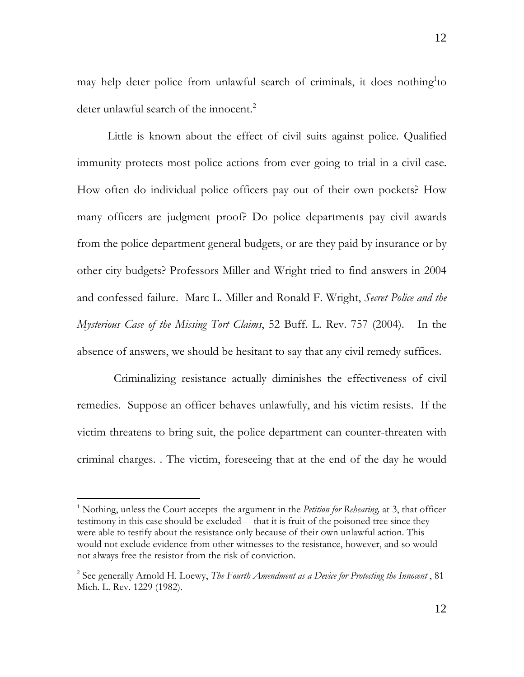may help deter police from unlawful search of criminals, it does nothing<sup>1</sup>to deter unlawful search of the innocent.<sup>2</sup>

 Little is known about the effect of civil suits against police. Qualified immunity protects most police actions from ever going to trial in a civil case. How often do individual police officers pay out of their own pockets? How many officers are judgment proof? Do police departments pay civil awards from the police department general budgets, or are they paid by insurance or by other city budgets? Professors Miller and Wright tried to find answers in 2004 and confessed failure. Marc L. Miller and Ronald F. Wright, *Secret Police and the Mysterious Case of the Missing Tort Claims*, 52 Buff. L. Rev. 757 (2004). In the absence of answers, we should be hesitant to say that any civil remedy suffices.

 Criminalizing resistance actually diminishes the effectiveness of civil remedies. Suppose an officer behaves unlawfully, and his victim resists. If the victim threatens to bring suit, the police department can counter-threaten with criminal charges. . The victim, foreseeing that at the end of the day he would

l

<sup>&</sup>lt;sup>1</sup> Nothing, unless the Court accepts the argument in the *Petition for Rehearing*, at 3, that officer testimony in this case should be excluded--- that it is fruit of the poisoned tree since they were able to testify about the resistance only because of their own unlawful action. This would not exclude evidence from other witnesses to the resistance, however, and so would not always free the resistor from the risk of conviction.

<sup>2</sup> See generally Arnold H. Loewy, *The Fourth Amendment as a Device for Protecting the Innocent* , 81 Mich. L. Rev. 1229 (1982).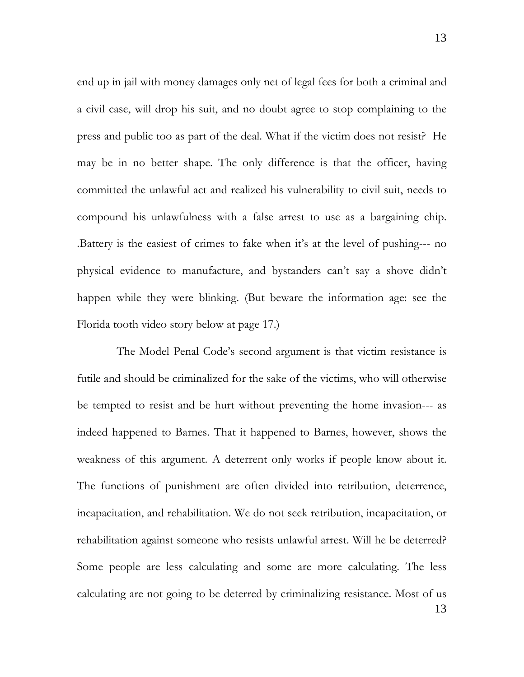end up in jail with money damages only net of legal fees for both a criminal and a civil case, will drop his suit, and no doubt agree to stop complaining to the press and public too as part of the deal. What if the victim does not resist? He may be in no better shape. The only difference is that the officer, having committed the unlawful act and realized his vulnerability to civil suit, needs to compound his unlawfulness with a false arrest to use as a bargaining chip. .Battery is the easiest of crimes to fake when it's at the level of pushing--- no physical evidence to manufacture, and bystanders can't say a shove didn't happen while they were blinking. (But beware the information age: see the Florida tooth video story below at page 17.)

13 The Model Penal Code's second argument is that victim resistance is futile and should be criminalized for the sake of the victims, who will otherwise be tempted to resist and be hurt without preventing the home invasion--- as indeed happened to Barnes. That it happened to Barnes, however, shows the weakness of this argument. A deterrent only works if people know about it. The functions of punishment are often divided into retribution, deterrence, incapacitation, and rehabilitation. We do not seek retribution, incapacitation, or rehabilitation against someone who resists unlawful arrest. Will he be deterred? Some people are less calculating and some are more calculating. The less calculating are not going to be deterred by criminalizing resistance. Most of us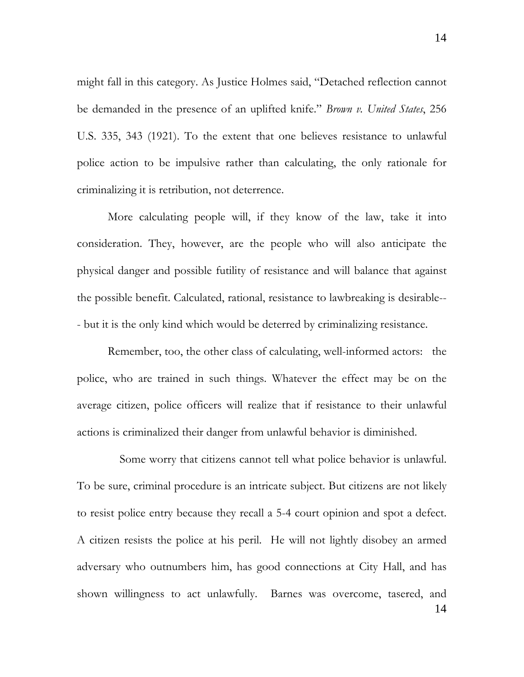might fall in this category. As Justice Holmes said, "Detached reflection cannot be demanded in the presence of an uplifted knife." *Brown v. United States*, 256 U.S. 335, 343 (1921). To the extent that one believes resistance to unlawful police action to be impulsive rather than calculating, the only rationale for criminalizing it is retribution, not deterrence.

 More calculating people will, if they know of the law, take it into consideration. They, however, are the people who will also anticipate the physical danger and possible futility of resistance and will balance that against the possible benefit. Calculated, rational, resistance to lawbreaking is desirable-- - but it is the only kind which would be deterred by criminalizing resistance.

 Remember, too, the other class of calculating, well-informed actors: the police, who are trained in such things. Whatever the effect may be on the average citizen, police officers will realize that if resistance to their unlawful actions is criminalized their danger from unlawful behavior is diminished.

14 Some worry that citizens cannot tell what police behavior is unlawful. To be sure, criminal procedure is an intricate subject. But citizens are not likely to resist police entry because they recall a 5-4 court opinion and spot a defect. A citizen resists the police at his peril. He will not lightly disobey an armed adversary who outnumbers him, has good connections at City Hall, and has shown willingness to act unlawfully. Barnes was overcome, tasered, and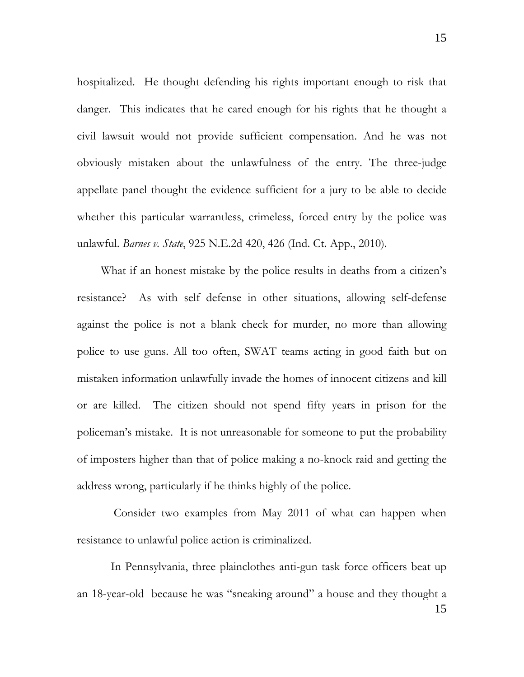hospitalized. He thought defending his rights important enough to risk that danger. This indicates that he cared enough for his rights that he thought a civil lawsuit would not provide sufficient compensation. And he was not obviously mistaken about the unlawfulness of the entry. The three-judge appellate panel thought the evidence sufficient for a jury to be able to decide whether this particular warrantless, crimeless, forced entry by the police was unlawful. *Barnes v. State*, 925 N.E.2d 420, 426 (Ind. Ct. App., 2010).

 What if an honest mistake by the police results in deaths from a citizen's resistance? As with self defense in other situations, allowing self-defense against the police is not a blank check for murder, no more than allowing police to use guns. All too often, SWAT teams acting in good faith but on mistaken information unlawfully invade the homes of innocent citizens and kill or are killed. The citizen should not spend fifty years in prison for the policeman's mistake. It is not unreasonable for someone to put the probability of imposters higher than that of police making a no-knock raid and getting the address wrong, particularly if he thinks highly of the police.

 Consider two examples from May 2011 of what can happen when resistance to unlawful police action is criminalized.

15 In Pennsylvania, three plainclothes anti-gun task force officers beat up an 18-year-old because he was "sneaking around" a house and they thought a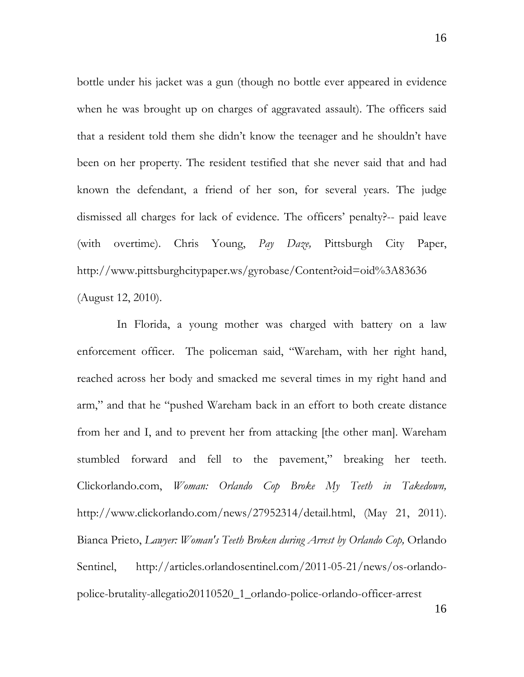bottle under his jacket was a gun (though no bottle ever appeared in evidence when he was brought up on charges of aggravated assault). The officers said that a resident told them she didn't know the teenager and he shouldn't have been on her property. The resident testified that she never said that and had known the defendant, a friend of her son, for several years. The judge dismissed all charges for lack of evidence. The officers' penalty?-- paid leave (with overtime). Chris Young, *Pay Daze,* Pittsburgh City Paper, http://www.pittsburghcitypaper.ws/gyrobase/Content?oid=oid%3A83636 (August 12, 2010).

 In Florida, a young mother was charged with battery on a law enforcement officer. The policeman said, "Wareham, with her right hand, reached across her body and smacked me several times in my right hand and arm," and that he "pushed Wareham back in an effort to both create distance from her and I, and to prevent her from attacking [the other man]. Wareham stumbled forward and fell to the pavement," breaking her teeth. Clickorlando.com, *Woman: Orlando Cop Broke My Teeth in Takedown,* http://www.clickorlando.com/news/27952314/detail.html, (May 21, 2011). Bianca Prieto, *Lawyer: Woman's Teeth Broken during Arrest by Orlando Cop,* Orlando Sentinel, http://articles.orlandosentinel.com/2011-05-21/news/os-orlandopolice-brutality-allegatio20110520\_1\_orlando-police-orlando-officer-arrest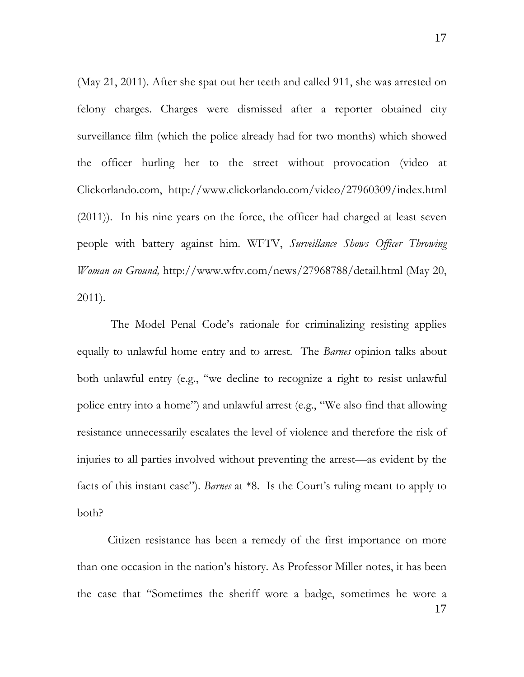(May 21, 2011). After she spat out her teeth and called 911, she was arrested on felony charges. Charges were dismissed after a reporter obtained city surveillance film (which the police already had for two months) which showed the officer hurling her to the street without provocation (video at Clickorlando.com, http://www.clickorlando.com/video/27960309/index.html (2011)). In his nine years on the force, the officer had charged at least seven people with battery against him. WFTV, *Surveillance Shows Officer Throwing Woman on Ground,* http://www.wftv.com/news/27968788/detail.html (May 20, 2011).

 The Model Penal Code's rationale for criminalizing resisting applies equally to unlawful home entry and to arrest. The *Barnes* opinion talks about both unlawful entry (e.g., "we decline to recognize a right to resist unlawful police entry into a home") and unlawful arrest (e.g., "We also find that allowing resistance unnecessarily escalates the level of violence and therefore the risk of injuries to all parties involved without preventing the arrest—as evident by the facts of this instant case"). *Barnes* at \*8. Is the Court's ruling meant to apply to both?

17 Citizen resistance has been a remedy of the first importance on more than one occasion in the nation's history. As Professor Miller notes, it has been the case that "Sometimes the sheriff wore a badge, sometimes he wore a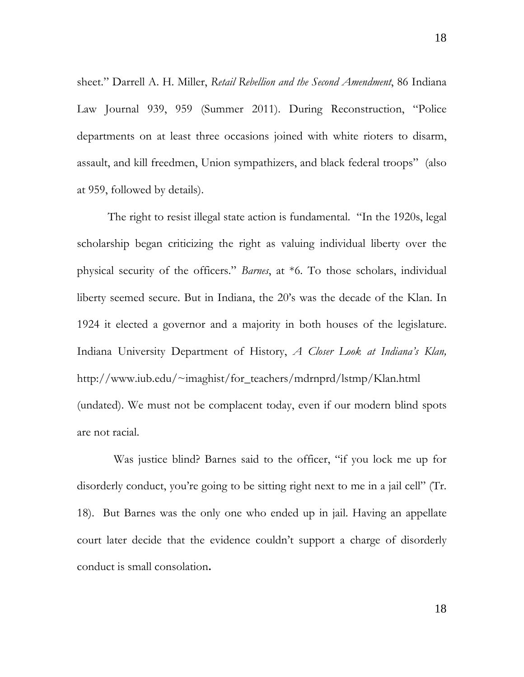sheet." Darrell A. H. Miller, *Retail Rebellion and the Second Amendment*, 86 Indiana Law Journal 939, 959 (Summer 2011). During Reconstruction, "Police departments on at least three occasions joined with white rioters to disarm, assault, and kill freedmen, Union sympathizers, and black federal troops" (also at 959, followed by details).

 The right to resist illegal state action is fundamental. "In the 1920s, legal scholarship began criticizing the right as valuing individual liberty over the physical security of the officers." *Barnes*, at \*6. To those scholars, individual liberty seemed secure. But in Indiana, the 20's was the decade of the Klan. In 1924 it elected a governor and a majority in both houses of the legislature. Indiana University Department of History, *A Closer Look at Indiana's Klan,* http://www.iub.edu/~imaghist/for\_teachers/mdrnprd/lstmp/Klan.html (undated). We must not be complacent today, even if our modern blind spots are not racial.

 Was justice blind? Barnes said to the officer, "if you lock me up for disorderly conduct, you're going to be sitting right next to me in a jail cell" (Tr. 18). But Barnes was the only one who ended up in jail. Having an appellate court later decide that the evidence couldn't support a charge of disorderly conduct is small consolation**.**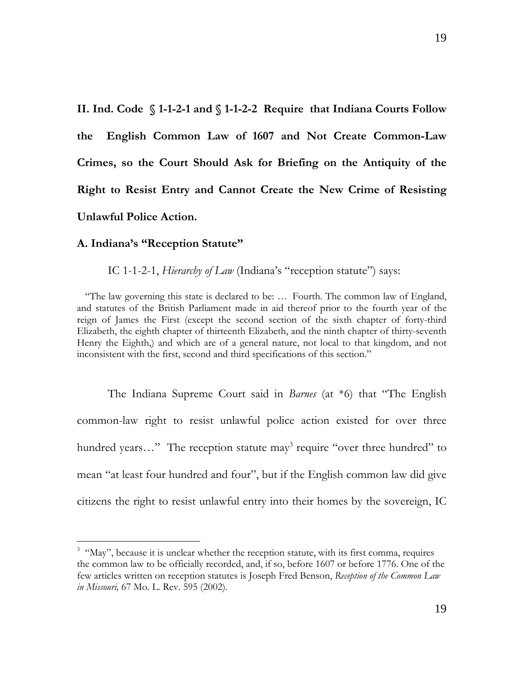**II. Ind. Code § 1-1-2-1 and § 1-1-2-2 Require that Indiana Courts Follow the English Common Law of 1607 and Not Create Common-Law Crimes, so the Court Should Ask for Briefing on the Antiquity of the Right to Resist Entry and Cannot Create the New Crime of Resisting Unlawful Police Action.** 

#### **A. Indiana's "Reception Statute"**

 $\overline{a}$ 

IC 1-1-2-1, *Hierarchy of Law* (Indiana's "reception statute") says:

"The law governing this state is declared to be: … Fourth. The common law of England, and statutes of the British Parliament made in aid thereof prior to the fourth year of the reign of James the First (except the second section of the sixth chapter of forty-third Elizabeth, the eighth chapter of thirteenth Elizabeth, and the ninth chapter of thirty-seventh Henry the Eighth,) and which are of a general nature, not local to that kingdom, and not inconsistent with the first, second and third specifications of this section."

 The Indiana Supreme Court said in *Barnes* (at \*6) that "The English common-law right to resist unlawful police action existed for over three hundred years..." The reception statute may<sup>3</sup> require "over three hundred" to mean "at least four hundred and four", but if the English common law did give citizens the right to resist unlawful entry into their homes by the sovereign, IC

<sup>&</sup>lt;sup>3</sup> "May", because it is unclear whether the reception statute, with its first comma, requires the common law to be officially recorded, and, if so, before 1607 or before 1776. One of the few articles written on reception statutes is Joseph Fred Benson, *Reception of the Common Law in Missouri,* 67 Mo. L. Rev. 595 (2002).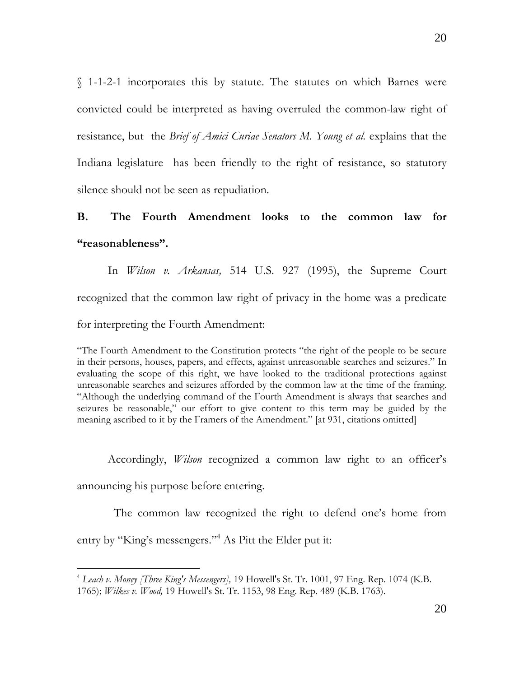§ 1-1-2-1 incorporates this by statute. The statutes on which Barnes were convicted could be interpreted as having overruled the common-law right of resistance, but the *Brief of Amici Curiae Senators M. Young et al.* explains that the Indiana legislature has been friendly to the right of resistance, so statutory silence should not be seen as repudiation.

## **B. The Fourth Amendment looks to the common law for "reasonableness".**

 In *Wilson v. Arkansas,* 514 U.S. 927 (1995), the Supreme Court recognized that the common law right of privacy in the home was a predicate for interpreting the Fourth Amendment:

"The Fourth Amendment to the Constitution protects "the right of the people to be secure in their persons, houses, papers, and effects, against unreasonable searches and seizures." In evaluating the scope of this right, we have looked to the traditional protections against unreasonable searches and seizures afforded by the common law at the time of the framing. "Although the underlying command of the Fourth Amendment is always that searches and seizures be reasonable," our effort to give content to this term may be guided by the meaning ascribed to it by the Framers of the Amendment." [at 931, citations omitted]

Accordingly, *Wilson* recognized a common law right to an officer's

announcing his purpose before entering.

 $\overline{a}$ 

 The common law recognized the right to defend one's home from entry by "King's messengers."4 As Pitt the Elder put it:

<sup>4</sup> *Leach v. Money [Three King's Messengers],* 19 Howell's St. Tr. 1001, 97 Eng. Rep. 1074 (K.B. 1765); *Wilkes v. Wood,* 19 Howell's St. Tr. 1153, 98 Eng. Rep. 489 (K.B. 1763).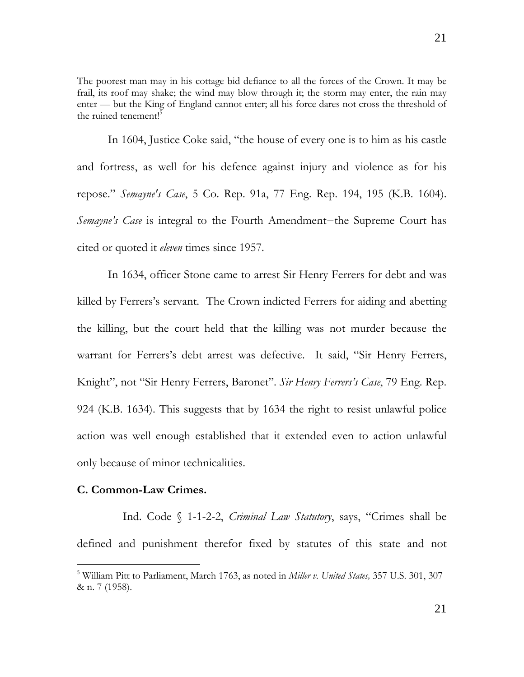The poorest man may in his cottage bid defiance to all the forces of the Crown. It may be frail, its roof may shake; the wind may blow through it; the storm may enter, the rain may enter — but the King of England cannot enter; all his force dares not cross the threshold of the ruined tenement!<sup>5</sup>

 In 1604, Justice Coke said, "the house of every one is to him as his castle and fortress, as well for his defence against injury and violence as for his repose." *Semayne's Case*, 5 Co. Rep. 91a, 77 Eng. Rep. 194, 195 (K.B. 1604). *Semayne's Case* is integral to the Fourth Amendment−the Supreme Court has cited or quoted it *eleven* times since 1957.

 In 1634, officer Stone came to arrest Sir Henry Ferrers for debt and was killed by Ferrers's servant. The Crown indicted Ferrers for aiding and abetting the killing, but the court held that the killing was not murder because the warrant for Ferrers's debt arrest was defective. It said, "Sir Henry Ferrers, Knight", not "Sir Henry Ferrers, Baronet". *Sir Henry Ferrers's Case*, 79 Eng. Rep. 924 (K.B. 1634). This suggests that by 1634 the right to resist unlawful police action was well enough established that it extended even to action unlawful only because of minor technicalities.

### **C. Common-Law Crimes.**

-

 Ind. Code § 1-1-2-2, *Criminal Law Statutory*, says, "Crimes shall be defined and punishment therefor fixed by statutes of this state and not

<sup>5</sup> William Pitt to Parliament, March 1763, as noted in *Miller v. United States,* 357 U.S. 301, 307 & n. 7 (1958).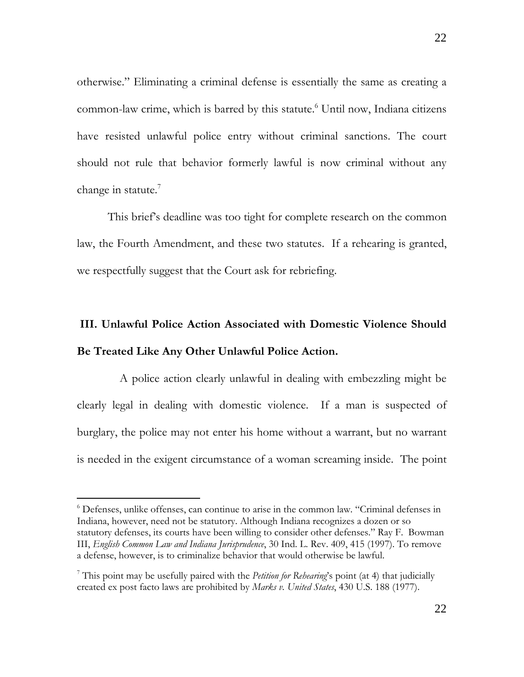otherwise." Eliminating a criminal defense is essentially the same as creating a common-law crime, which is barred by this statute.<sup>6</sup> Until now, Indiana citizens have resisted unlawful police entry without criminal sanctions. The court should not rule that behavior formerly lawful is now criminal without any change in statute.<sup>7</sup>

 This brief's deadline was too tight for complete research on the common law, the Fourth Amendment, and these two statutes. If a rehearing is granted, we respectfully suggest that the Court ask for rebriefing.

# **III. Unlawful Police Action Associated with Domestic Violence Should Be Treated Like Any Other Unlawful Police Action.**

 A police action clearly unlawful in dealing with embezzling might be clearly legal in dealing with domestic violence. If a man is suspected of burglary, the police may not enter his home without a warrant, but no warrant is needed in the exigent circumstance of a woman screaming inside. The point

 $\overline{a}$ 

<sup>6</sup> Defenses, unlike offenses, can continue to arise in the common law. "Criminal defenses in Indiana, however, need not be statutory. Although Indiana recognizes a dozen or so statutory defenses, its courts have been willing to consider other defenses." Ray F. Bowman III, *English Common Law and Indiana Jurisprudence*, 30 Ind. L. Rev. 409, 415 (1997). To remove a defense, however, is to criminalize behavior that would otherwise be lawful.

<sup>7</sup> This point may be usefully paired with the *Petition for Rehearing*'s point (at 4) that judicially created ex post facto laws are prohibited by *Marks v. United States*, 430 U.S. 188 (1977).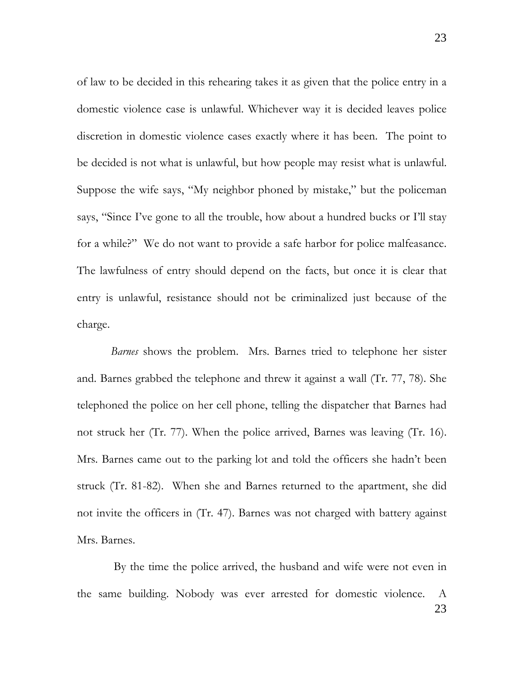of law to be decided in this rehearing takes it as given that the police entry in a domestic violence case is unlawful. Whichever way it is decided leaves police discretion in domestic violence cases exactly where it has been. The point to be decided is not what is unlawful, but how people may resist what is unlawful. Suppose the wife says, "My neighbor phoned by mistake," but the policeman says, "Since I've gone to all the trouble, how about a hundred bucks or I'll stay for a while?" We do not want to provide a safe harbor for police malfeasance. The lawfulness of entry should depend on the facts, but once it is clear that entry is unlawful, resistance should not be criminalized just because of the charge.

 *Barnes* shows the problem. Mrs. Barnes tried to telephone her sister and. Barnes grabbed the telephone and threw it against a wall (Tr. 77, 78). She telephoned the police on her cell phone, telling the dispatcher that Barnes had not struck her (Tr. 77). When the police arrived, Barnes was leaving (Tr. 16). Mrs. Barnes came out to the parking lot and told the officers she hadn't been struck (Tr. 81-82). When she and Barnes returned to the apartment, she did not invite the officers in (Tr. 47). Barnes was not charged with battery against Mrs. Barnes.

23 By the time the police arrived, the husband and wife were not even in the same building. Nobody was ever arrested for domestic violence. A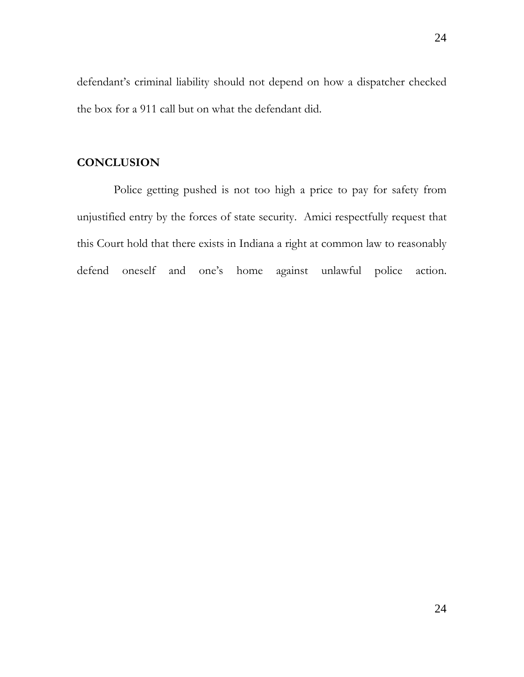defendant's criminal liability should not depend on how a dispatcher checked the box for a 911 call but on what the defendant did.

## **CONCLUSION**

 Police getting pushed is not too high a price to pay for safety from unjustified entry by the forces of state security. Amici respectfully request that this Court hold that there exists in Indiana a right at common law to reasonably defend oneself and one's home against unlawful police action.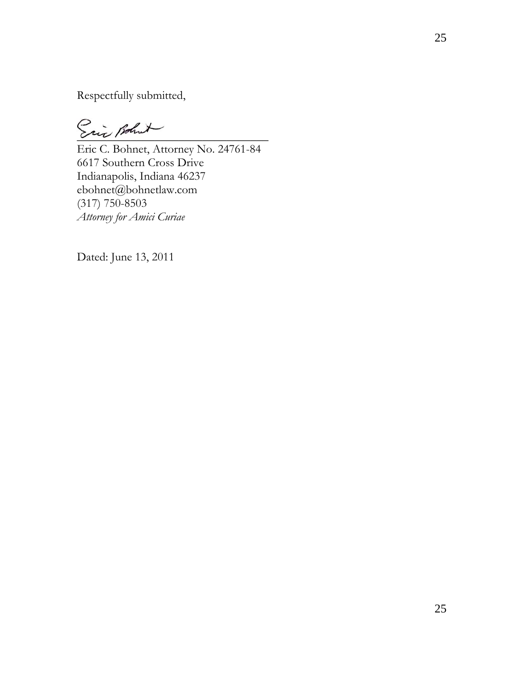Respectfully submitted,

Eric Bohnt

Eric C. Bohnet, Attorney No. 24761-84 6617 Southern Cross Drive Indianapolis, Indiana 46237 ebohnet@bohnetlaw.com (317) 750-8503 *Attorney for Amici Curiae* 

Dated: June 13, 2011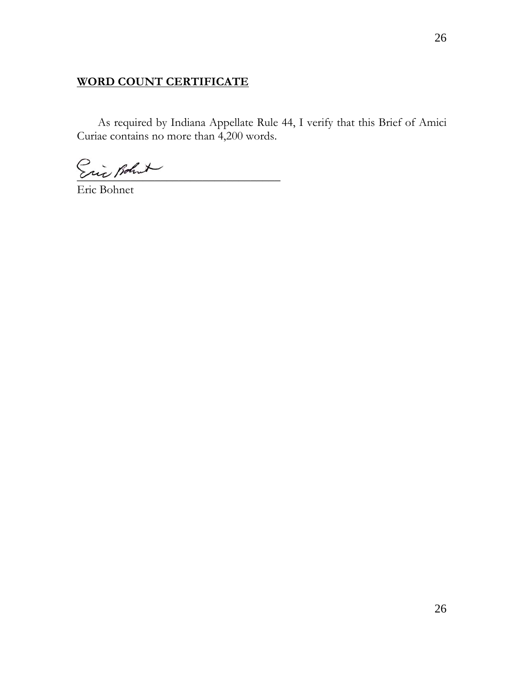## **WORD COUNT CERTIFICATE**

 As required by Indiana Appellate Rule 44, I verify that this Brief of Amici Curiae contains no more than 4,200 words.

Eric Bohut

Eric Bohnet